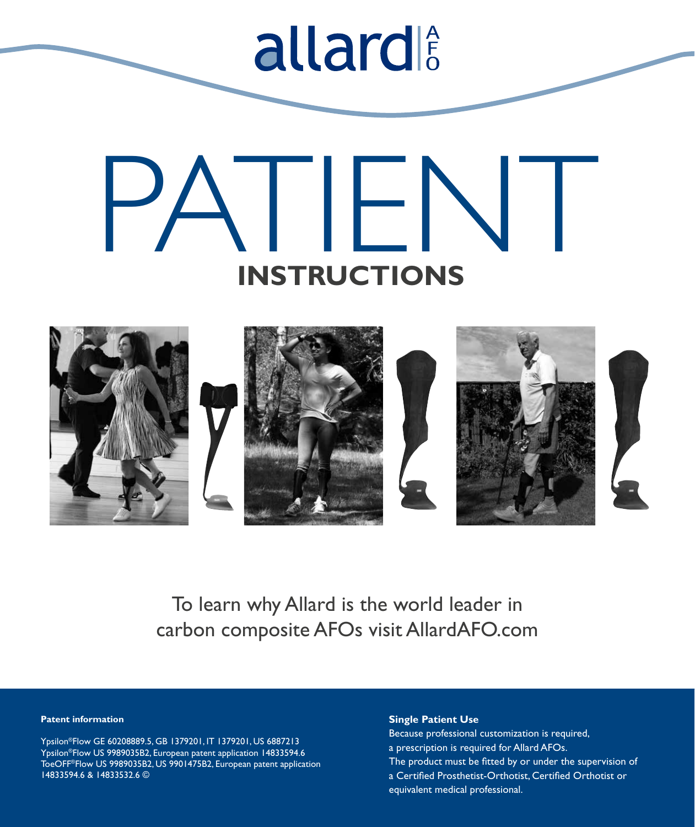# PATIEN  **INSTRUCTIONS**

allard



To learn why Allard is the world leader in carbon composite AFOs visit AllardAFO.com

# **Patent information**

Ypsilon®Flow GE 60208889.5, GB 1379201, IT 1379201, US 6887213 Ypsilon®Flow US 9989035B2, European patent application 14833594.6 ToeOFF®Flow US 9989035B2, US 9901475B2, European patent application 14833594.6 & 14833532.6 ©

# **Single Patient Use**

Because professional customization is required, a prescription is required for Allard AFOs. The product must be fitted by or under the supervision of a Certified Prosthetist-Orthotist, Certified Orthotist or equivalent medical professional.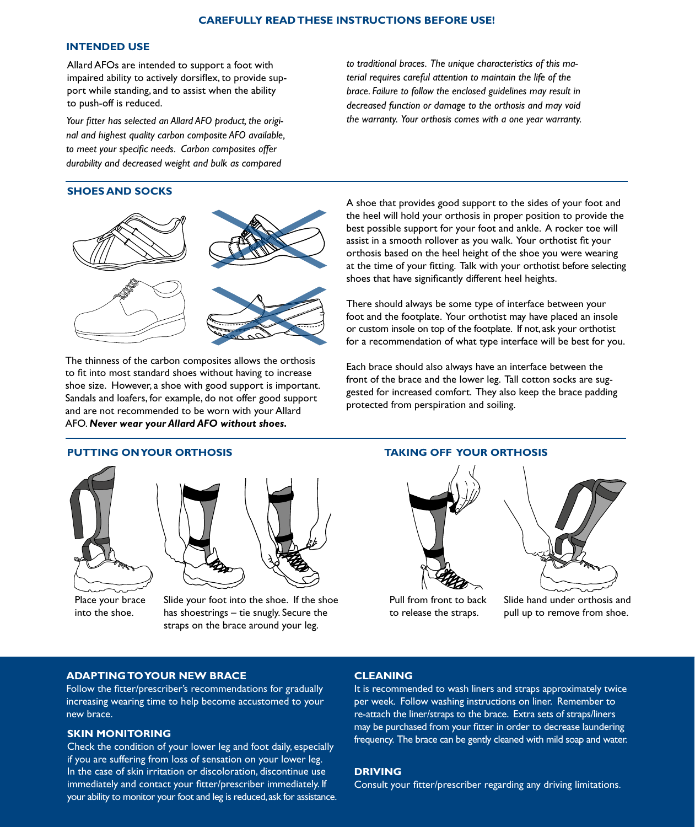# **INTENDED USE**

Allard AFOs are intended to support a foot with impaired ability to actively dorsiflex, to provide support while standing, and to assist when the ability to push-off is reduced.

*Your fitter has selected an Allard AFO product, the original and highest quality carbon composite AFO available, to meet your specific needs. Carbon composites offer durability and decreased weight and bulk as compared* 

# **SHOES AND SOCKS**



The thinness of the carbon composites allows the orthosis to fit into most standard shoes without having to increase shoe size. However, a shoe with good support is important. Sandals and loafers, for example, do not offer good support and are not recommended to be worn with your Allard AFO. *Never wear your Allard AFO without shoes.* 

*to traditional braces. The unique characteristics of this material requires careful attention to maintain the life of the brace. Failure to follow the enclosed guidelines may result in decreased function or damage to the orthosis and may void the warranty. Your orthosis comes with a one year warranty.* 

A shoe that provides good support to the sides of your foot and the heel will hold your orthosis in proper position to provide the best possible support for your foot and ankle. A rocker toe will assist in a smooth rollover as you walk. Your orthotist fit your orthosis based on the heel height of the shoe you were wearing at the time of your fitting. Talk with your orthotist before selecting shoes that have significantly different heel heights.

There should always be some type of interface between your foot and the footplate. Your orthotist may have placed an insole or custom insole on top of the footplate. If not, ask your orthotist for a recommendation of what type interface will be best for you.

Each brace should also always have an interface between the front of the brace and the lower leg. Tall cotton socks are suggested for increased comfort. They also keep the brace padding protected from perspiration and soiling.



Place your brace into the shoe.



Slide your foot into the shoe. If the shoe has shoestrings – tie snugly. Secure the straps on the brace around your leg.

# **PUTTING ON YOUR ORTHOSIS TAKING OFF YOUR ORTHOSIS**



Pull from front to back to release the straps.



Slide hand under orthosis and pull up to remove from shoe.

# **ADAPTING TO YOUR NEW BRACE**

Follow the fitter/prescriber's recommendations for gradually increasing wearing time to help become accustomed to your new brace.

# **SKIN MONITORING**

Check the condition of your lower leg and foot daily, especially if you are suffering from loss of sensation on your lower leg. In the case of skin irritation or discoloration, discontinue use immediately and contact your fitter/prescriber immediately. If your ability to monitor your foot and leg is reduced, ask for assistance.

# **CLEANING**

It is recommended to wash liners and straps approximately twice per week. Follow washing instructions on liner. Remember to re-attach the liner/straps to the brace. Extra sets of straps/liners may be purchased from your fitter in order to decrease laundering frequency. The brace can be gently cleaned with mild soap and water.

# **DRIVING**

Consult your fitter/prescriber regarding any driving limitations.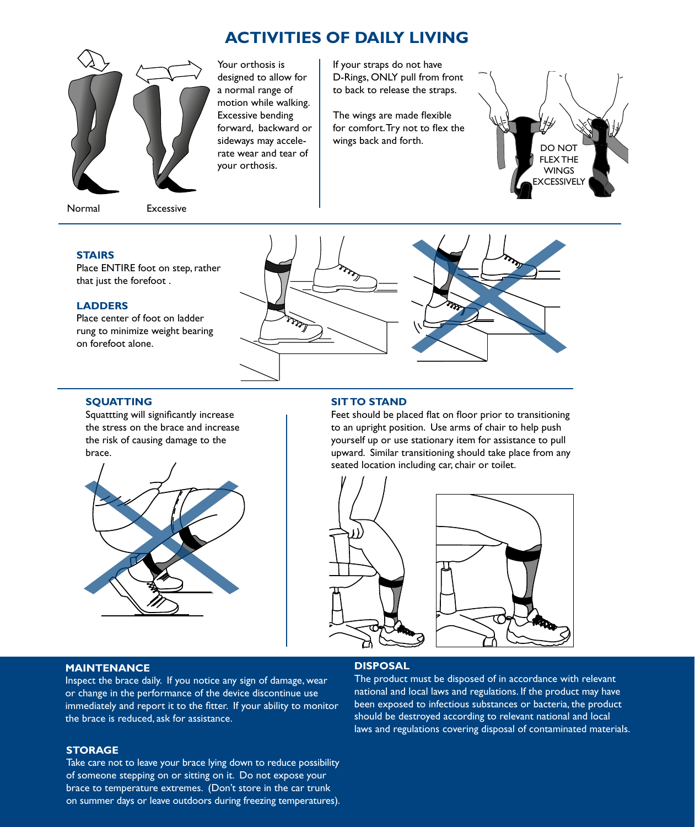# **ACTIVITIES OF DAILY LIVING**



Normal Excessive

Your orthosis is designed to allow for a normal range of motion while walking. Excessive bending forward, backward or sideways may accelerate wear and tear of your orthosis.

If your straps do not have D-Rings, ONLY pull from front to back to release the straps.

The wings are made flexible for comfort. Try not to flex the



# **STAIRS**

Place ENTIRE foot on step, rather that just the forefoot .

# **LADDERS**

**SQUATTING**

brace.

Place center of foot on ladder rung to minimize weight bearing on forefoot alone.

Squattting will significantly increase the stress on the brace and increase the risk of causing damage to the



### **SIT TO STAND**

Feet should be placed flat on floor prior to transitioning to an upright position. Use arms of chair to help push yourself up or use stationary item for assistance to pull upward. Similar transitioning should take place from any seated location including car, chair or toilet.





# **MAINTENANCE**

Inspect the brace daily. If you notice any sign of damage, wear or change in the performance of the device discontinue use immediately and report it to the fitter. If your ability to monitor the brace is reduced, ask for assistance.

# **DISPOSAL**

The product must be disposed of in accordance with relevant national and local laws and regulations. If the product may have been exposed to infectious substances or bacteria, the product should be destroyed according to relevant national and local laws and regulations covering disposal of contaminated materials.

# **STORAGE**

Take care not to leave your brace lying down to reduce possibility of someone stepping on or sitting on it. Do not expose your brace to temperature extremes. (Don't store in the car trunk on summer days or leave outdoors during freezing temperatures).